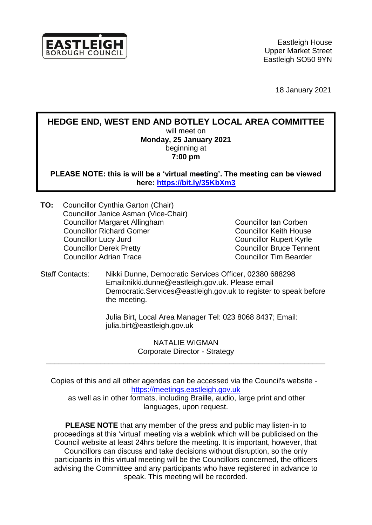

18 January 2021

**HEDGE END, WEST END AND BOTLEY LOCAL AREA COMMITTEE** will meet on **Monday, 25 January 2021** beginning at **7:00 pm**

**PLEASE NOTE: this is will be a 'virtual meeting'. The meeting can be viewed here:<https://bit.ly/35KbXm3>**

**TO:** Councillor Cynthia Garton (Chair) Councillor Janice Asman (Vice-Chair) Councillor Margaret Allingham Councillor Ian Corben Councillor Richard Gomer Councillor Keith House Councillor Lucy Jurd Councillor Rupert Kyrle Councillor Derek Pretty Councillor Bruce Tennent Councillor Adrian Trace

Staff Contacts: Nikki Dunne, Democratic Services Officer, 02380 688298 Email:nikki.dunne@eastleigh.gov.uk. Please email Democratic.Services@eastleigh.gov.uk to register to speak before the meeting.

> Julia Birt, Local Area Manager Tel: 023 8068 8437; Email: julia.birt@eastleigh.gov.uk

> > NATALIE WIGMAN Corporate Director - Strategy

\_\_\_\_\_\_\_\_\_\_\_\_\_\_\_\_\_\_\_\_\_\_\_\_\_\_\_\_\_\_\_\_\_\_\_\_\_\_\_\_\_\_\_\_\_\_\_\_\_\_\_\_\_\_\_\_\_\_\_\_\_\_\_\_\_\_\_

Copies of this and all other agendas can be accessed via the Council's website [https://meetings.eastleigh.gov.uk](https://meetings.eastleigh.gov.uk/)

as well as in other formats, including Braille, audio, large print and other languages, upon request.

**PLEASE NOTE** that any member of the press and public may listen-in to proceedings at this 'virtual' meeting via a weblink which will be publicised on the Council website at least 24hrs before the meeting. It is important, however, that Councillors can discuss and take decisions without disruption, so the only participants in this virtual meeting will be the Councillors concerned, the officers advising the Committee and any participants who have registered in advance to speak. This meeting will be recorded.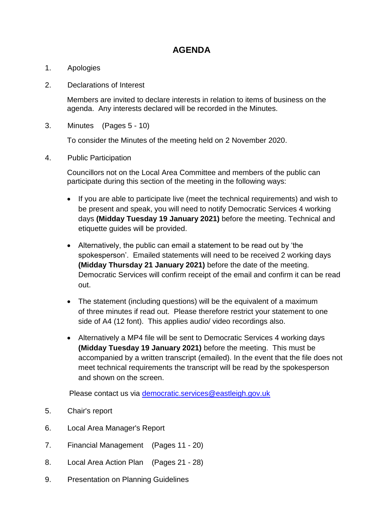## **AGENDA**

- 1. Apologies
- 2. Declarations of Interest

Members are invited to declare interests in relation to items of business on the agenda. Any interests declared will be recorded in the Minutes.

3. Minutes (Pages 5 - 10)

To consider the Minutes of the meeting held on 2 November 2020.

4. Public Participation

Councillors not on the Local Area Committee and members of the public can participate during this section of the meeting in the following ways:

- If you are able to participate live (meet the technical requirements) and wish to be present and speak, you will need to notify Democratic Services 4 working days **(Midday Tuesday 19 January 2021)** before the meeting. Technical and etiquette guides will be provided.
- Alternatively, the public can email a statement to be read out by 'the spokesperson'. Emailed statements will need to be received 2 working days **(Midday Thursday 21 January 2021)** before the date of the meeting. Democratic Services will confirm receipt of the email and confirm it can be read out.
- The statement (including questions) will be the equivalent of a maximum of three minutes if read out. Please therefore restrict your statement to one side of A4 (12 font). This applies audio/ video recordings also.
- Alternatively a MP4 file will be sent to Democratic Services 4 working days **(Midday Tuesday 19 January 2021)** before the meeting. This must be accompanied by a written transcript (emailed). In the event that the file does not meet technical requirements the transcript will be read by the spokesperson and shown on the screen.

Please contact us via [democratic.services@eastleigh.gov.uk](mailto:democratic.services@eastleigh.gov.uk)

- 5. Chair's report
- 6. Local Area Manager's Report
- 7. Financial Management (Pages 11 20)
- 8. Local Area Action Plan (Pages 21 28)
- 9. Presentation on Planning Guidelines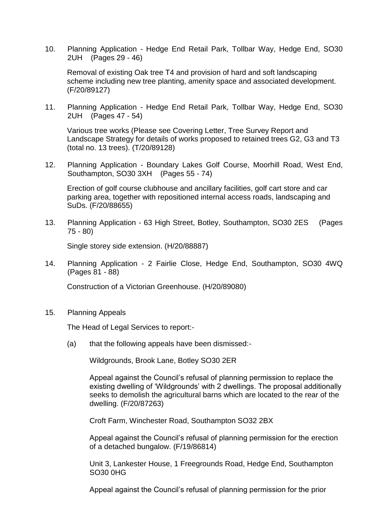10. Planning Application - Hedge End Retail Park, Tollbar Way, Hedge End, SO30 2UH (Pages 29 - 46)

Removal of existing Oak tree T4 and provision of hard and soft landscaping scheme including new tree planting, amenity space and associated development. (F/20/89127)

11. Planning Application - Hedge End Retail Park, Tollbar Way, Hedge End, SO30 2UH (Pages 47 - 54)

Various tree works (Please see Covering Letter, Tree Survey Report and Landscape Strategy for details of works proposed to retained trees G2, G3 and T3 (total no. 13 trees). (T/20/89128)

12. Planning Application - Boundary Lakes Golf Course, Moorhill Road, West End, Southampton, SO30 3XH (Pages 55 - 74)

Erection of golf course clubhouse and ancillary facilities, golf cart store and car parking area, together with repositioned internal access roads, landscaping and SuDs. (F/20/88655)

13. Planning Application - 63 High Street, Botley, Southampton, SO30 2ES (Pages 75 - 80)

Single storey side extension. (H/20/88887)

14. Planning Application - 2 Fairlie Close, Hedge End, Southampton, SO30 4WQ (Pages 81 - 88)

Construction of a Victorian Greenhouse. (H/20/89080)

15. Planning Appeals

The Head of Legal Services to report:-

(a) that the following appeals have been dismissed:-

Wildgrounds, Brook Lane, Botley SO30 2ER

Appeal against the Council's refusal of planning permission to replace the existing dwelling of 'Wildgrounds' with 2 dwellings. The proposal additionally seeks to demolish the agricultural barns which are located to the rear of the dwelling. (F/20/87263)

Croft Farm, Winchester Road, Southampton SO32 2BX

Appeal against the Council's refusal of planning permission for the erection of a detached bungalow. (F/19/86814)

Unit 3, Lankester House, 1 Freegrounds Road, Hedge End, Southampton SO30 0HG

Appeal against the Council's refusal of planning permission for the prior